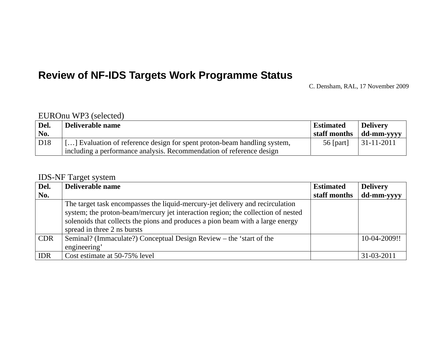# **Review of NF-IDS Targets Work Programme Status**

C. Densham, RAL, 17 November 2009

#### EUROnu WP3 (selected)

| Del.            | Deliverable name                                                         | <b>Estimated</b> | <b>Delivery</b>                                 |
|-----------------|--------------------------------------------------------------------------|------------------|-------------------------------------------------|
| No.             |                                                                          |                  | $\parallel$ staff months $\parallel$ dd-mm-yyyy |
| D <sub>18</sub> | [] Evaluation of reference design for spent proton-beam handling system, | 56 [part]        | $ 31-11-2011$                                   |
|                 | including a performance analysis. Recommendation of reference design     |                  |                                                 |

#### IDS-NF Target system

| Del.       | Deliverable name                                                                                                                                                                                                                                                                   | <b>Estimated</b> | <b>Delivery</b> |
|------------|------------------------------------------------------------------------------------------------------------------------------------------------------------------------------------------------------------------------------------------------------------------------------------|------------------|-----------------|
| No.        |                                                                                                                                                                                                                                                                                    | staff months     | dd-mm-yyyy      |
|            | The target task encompasses the liquid-mercury-jet delivery and recirculation<br>system; the proton-beam/mercury jet interaction region; the collection of nested<br>solenoids that collects the pions and produces a pion beam with a large energy<br>spread in three 2 ns bursts |                  |                 |
| <b>CDR</b> | Seminal? (Immaculate?) Conceptual Design Review – the 'start of the<br>engineering'                                                                                                                                                                                                |                  | 10-04-2009!!    |
| <b>IDR</b> | Cost estimate at 50-75% level                                                                                                                                                                                                                                                      |                  | 31-03-2011      |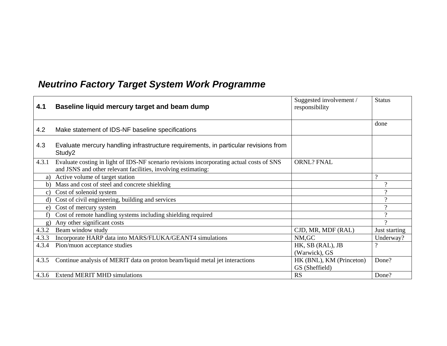# *Neutrino Factory Target System Work Programme*

| 4.1          | Baseline liquid mercury target and beam dump                                                                                                              | Suggested involvement /<br>responsibility  | <b>Status</b>  |
|--------------|-----------------------------------------------------------------------------------------------------------------------------------------------------------|--------------------------------------------|----------------|
|              |                                                                                                                                                           |                                            |                |
| 4.2          | Make statement of IDS-NF baseline specifications                                                                                                          |                                            | done           |
| 4.3          | Evaluate mercury handling infrastructure requirements, in particular revisions from<br>Study2                                                             |                                            |                |
| 4.3.1        | Evaluate costing in light of IDS-NF scenario revisions incorporating actual costs of SNS<br>and JSNS and other relevant facilities, involving estimating: | <b>ORNL? FNAL</b>                          |                |
| a)           | Active volume of target station                                                                                                                           |                                            | $\Omega$       |
| b)           | Mass and cost of steel and concrete shielding                                                                                                             |                                            | $\gamma$       |
| $\mathbf{c}$ | Cost of solenoid system                                                                                                                                   |                                            | $\overline{?}$ |
| d)           | Cost of civil engineering, building and services                                                                                                          |                                            | $\gamma$       |
| e)           | Cost of mercury system                                                                                                                                    |                                            | $\Omega$       |
| f)           | Cost of remote handling systems including shielding required                                                                                              |                                            | $\gamma$       |
| g)           | Any other significant costs                                                                                                                               |                                            | $\gamma$       |
| 4.3.2        | Beam window study                                                                                                                                         | CJD, MR, MDF (RAL)                         | Just starting  |
| 4.3.3        | Incorporate HARP data into MARS/FLUKA/GEANT4 simulations                                                                                                  | NM, GC                                     | Underway?      |
| 4.3.4        | Pion/muon acceptance studies                                                                                                                              | HK, SB (RAL), JB                           | $\gamma$       |
|              |                                                                                                                                                           | (Warwick), GS                              |                |
| 4.3.5        | Continue analysis of MERIT data on proton beam/liquid metal jet interactions                                                                              | HK (BNL), KM (Princeton)<br>GS (Sheffield) | Done?          |
|              | 4.3.6 Extend MERIT MHD simulations                                                                                                                        | RS                                         | Done?          |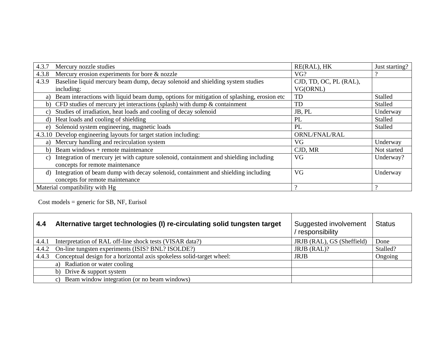| 4.3.7           | Mercury nozzle studies                                                                    | RE(RAL), HK            | Just starting? |
|-----------------|-------------------------------------------------------------------------------------------|------------------------|----------------|
| 4.3.8           | Mercury erosion experiments for bore & nozzle                                             | VG?                    |                |
| 4.3.9           | Baseline liquid mercury beam dump, decay solenoid and shielding system studies            | CJD, TD, OC, PL (RAL), |                |
|                 | including:                                                                                | VG(ORNL)               |                |
| a)              | Beam interactions with liquid beam dump, options for mitigation of splashing, erosion etc | TD                     | Stalled        |
| b)              | CFD studies of mercury jet interactions (splash) with dump $\&$ containment               | TD                     | Stalled        |
| $\mathcal{C}$ ) | Studies of irradiation, heat loads and cooling of decay solenoid                          | JB, PL                 | Underway       |
| d)              | Heat loads and cooling of shielding                                                       | PL                     | Stalled        |
| e)              | Solenoid system engineering, magnetic loads                                               | PL                     | Stalled        |
|                 | 4.3.10 Develop engineering layouts for target station including:                          | ORNL/FNAL/RAL          |                |
| a)              | Mercury handling and recirculation system                                                 | VG.                    | Underway       |
| b)              | Beam windows + remote maintenance                                                         | CJD, MR                | Not started    |
| C)              | Integration of mercury jet with capture solenoid, containment and shielding including     | VG                     | Underway?      |
|                 | concepts for remote maintenance                                                           |                        |                |
| d)              | Integration of beam dump with decay solenoid, containment and shielding including         | VG                     | Underway       |
|                 | concepts for remote maintenance                                                           |                        |                |
|                 | Material compatibility with Hg                                                            | $\Omega$               |                |

Cost models = generic for SB, NF, Eurisol

| 4.4   | Alternative target technologies (I) re-circulating solid tungsten target | Suggested involvement<br>responsibility | <b>Status</b> |
|-------|--------------------------------------------------------------------------|-----------------------------------------|---------------|
| 4.4.1 | Interpretation of RAL off-line shock tests (VISAR data?)                 | JRJB (RAL), GS (Sheffield)              | Done          |
| 4.4.2 | On-line tungsten experiments (ISIS? BNL? ISOLDE?)                        | JRJB (RAL)?                             | Stalled?      |
| 4.4.3 | Conceptual design for a horizontal axis spokeless solid-target wheel:    | <b>JRJB</b>                             | Ongoing       |
|       | a) Radiation or water cooling                                            |                                         |               |
|       | b) Drive $&$ support system                                              |                                         |               |
|       | c) Beam window integration (or no beam windows)                          |                                         |               |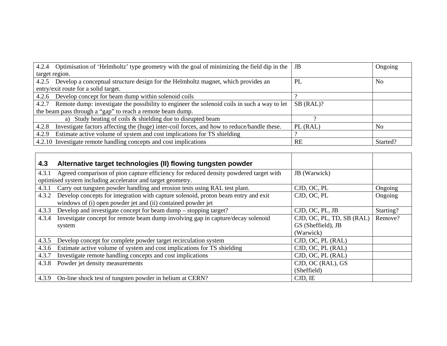| 4.2.4 Optimisation of 'Helmholtz' type geometry with the goal of minimizing the field dip in the   JB                              |             | Ongoing        |  |  |  |  |
|------------------------------------------------------------------------------------------------------------------------------------|-------------|----------------|--|--|--|--|
| target region.                                                                                                                     |             |                |  |  |  |  |
| Develop a conceptual structure design for the Helmholtz magnet, which provides an<br>4.2.5                                         | PL          | N <sub>0</sub> |  |  |  |  |
| entry/exit route for a solid target.                                                                                               |             |                |  |  |  |  |
| Develop concept for beam dump within solenoid coils<br>4.2.6                                                                       |             |                |  |  |  |  |
| Remote dump: investigate the possibility to engineer the solenoid coils in such a way to let<br>4.2.7                              | $SB$ (RAL)? |                |  |  |  |  |
| the beam pass through a "gap" to reach a remote beam dump.                                                                         |             |                |  |  |  |  |
| a) Study heating of coils & shielding due to disrupted beam                                                                        |             |                |  |  |  |  |
| Investigate factors affecting the (huge) inter-coil forces, and how to reduce/handle these.<br>PL (RAL)<br>N <sub>o</sub><br>4.2.8 |             |                |  |  |  |  |
| Estimate active volume of system and cost implications for TS shielding<br>4.2.9                                                   |             |                |  |  |  |  |
| 4.2.10 Investigate remote handling concepts and cost implications                                                                  | RE          | Started?       |  |  |  |  |

| 4.3   | Alternative target technologies (II) flowing tungsten powder                          |                           |           |
|-------|---------------------------------------------------------------------------------------|---------------------------|-----------|
| 4.3.1 | Agreed comparison of pion capture efficiency for reduced density powdered target with | JB (Warwick)              |           |
|       | optimised system including accelerator and target geometry.                           |                           |           |
| 4.3.1 | Carry out tungsten powder handling and erosion tests using RAL test plant.            | CJD, OC, PL               | Ongoing   |
| 4.3.2 | Develop concepts for integration with capture solenoid, proton beam entry and exit    | CJD, OC, PL               | Ongoing   |
|       | windows of (i) open powder jet and (ii) contained powder jet                          |                           |           |
| 4.3.3 | Develop and investigate concept for beam dump – stopping target?                      | CJD, OC, PL, JB           | Starting? |
| 4.3.4 | Investigate concept for remote beam dump involving gap in capture/decay solenoid      | CJD, OC, PL, TD, SB (RAL) | Remove?   |
|       | system                                                                                | GS (Sheffield), JB        |           |
|       |                                                                                       | (Warwick)                 |           |
| 4.3.5 | Develop concept for complete powder target recirculation system                       | CJD, OC, PL (RAL)         |           |
| 4.3.6 | Estimate active volume of system and cost implications for TS shielding               | CJD, OC, PL (RAL)         |           |
| 4.3.7 | Investigate remote handling concepts and cost implications                            | CJD, OC, PL (RAL)         |           |
| 4.3.8 | Powder jet density measurements                                                       | CJD, OC (RAL), GS         |           |
|       |                                                                                       | (Sheffield)               |           |
| 4.3.9 | On-line shock test of tungsten powder in helium at CERN?                              | CJD, IE                   |           |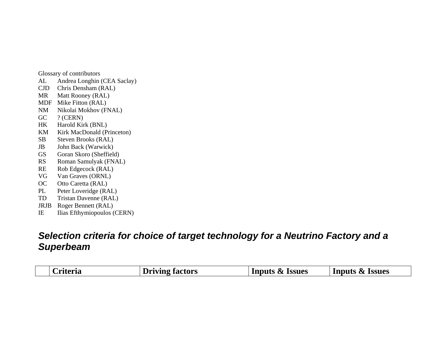Glossary of contributors

- AL Andrea Longhin (CEA Saclay)
- CJD Chris Densham (RAL)
- MR Matt Rooney (RAL)
- MDF Mike Fitton (RAL)
- NM Nikolai Mokhov (FNAL)
- GC ? (CERN)
- HK Harold Kirk (BNL)
- KM Kirk MacDonald (Princeton)
- SB Steven Brooks (RAL)
- JB John Back (Warwick)
- GS Goran Skoro (Sheffield)
- RS Roman Samulyak (FNAL)
- RE Rob Edgecock (RAL)
- VG Van Graves (ORNL)
- OC Otto Caretta (RAL)
- PL Peter Loveridge (RAL)
- TD Tristan Davenne (RAL)
- JRJB Roger Bennett (RAL)
- IE Ilias Efthymiopoulos (CERN)

### *Selection criteria for choice of target technology for a Neutrino Factory and a Superbeam*

| <b>Driving factors</b><br>Inputs & Issues<br>Inputs & Issues<br>. rīterīa |  |
|---------------------------------------------------------------------------|--|
|---------------------------------------------------------------------------|--|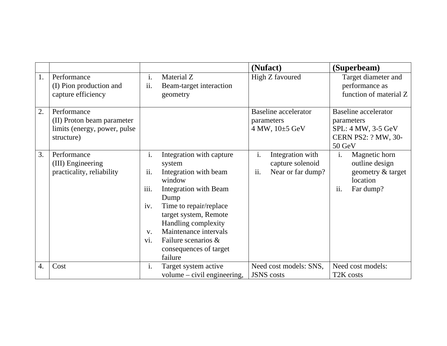|    |                                                                                         |                                       |                                                                                                                                                                                                                                                                              |           | (Nufact)                                                         | (Superbeam)                                                                                             |
|----|-----------------------------------------------------------------------------------------|---------------------------------------|------------------------------------------------------------------------------------------------------------------------------------------------------------------------------------------------------------------------------------------------------------------------------|-----------|------------------------------------------------------------------|---------------------------------------------------------------------------------------------------------|
| 1. | Performance<br>(I) Pion production and<br>capture efficiency                            | i.<br>ii.                             | Material Z<br>Beam-target interaction<br>geometry                                                                                                                                                                                                                            |           | High Z favoured                                                  | Target diameter and<br>performance as<br>function of material Z                                         |
| 2. | Performance<br>(II) Proton beam parameter<br>limits (energy, power, pulse<br>structure) |                                       |                                                                                                                                                                                                                                                                              |           | <b>Baseline</b> accelerator<br>parameters<br>4 MW, $10\pm 5$ GeV | <b>Baseline</b> accelerator<br>parameters<br>SPL: 4 MW, 3-5 GeV<br><b>CERN PS2: ? MW, 30-</b><br>50 GeV |
| 3. | Performance<br>(III) Engineering<br>practicality, reliability                           | i.<br>ii.<br>iii.<br>iv.<br>V.<br>vi. | Integration with capture<br>system<br>Integration with beam<br>window<br><b>Integration with Beam</b><br>Dump<br>Time to repair/replace<br>target system, Remote<br>Handling complexity<br>Maintenance intervals<br>Failure scenarios &<br>consequences of target<br>failure | i.<br>ii. | Integration with<br>capture solenoid<br>Near or far dump?        | Magnetic horn<br>i.<br>outline design<br>geometry & target<br>location<br>ii.<br>Far dump?              |
| 4. | Cost                                                                                    | $\mathbf{1}$ .                        | Target system active<br>volume – civil engineering,                                                                                                                                                                                                                          |           | Need cost models: SNS,<br><b>JSNS</b> costs                      | Need cost models:<br>T <sub>2</sub> K costs                                                             |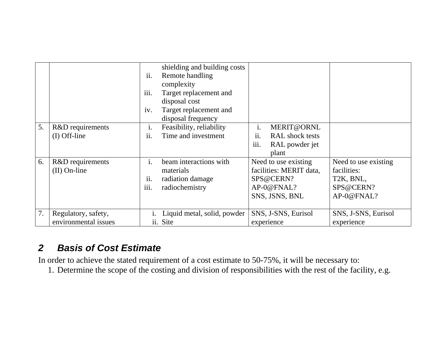|    |                                             | ii.<br>iii.<br>iv.                        | shielding and building costs<br>Remote handling<br>complexity<br>Target replacement and<br>disposal cost<br>Target replacement and<br>disposal frequency |             |                                                                                              |                                                                                          |
|----|---------------------------------------------|-------------------------------------------|----------------------------------------------------------------------------------------------------------------------------------------------------------|-------------|----------------------------------------------------------------------------------------------|------------------------------------------------------------------------------------------|
| 5. | R&D requirements<br>$(I)$ Off-line          | $\mathbf{1}$ .<br>ii.                     | Feasibility, reliability<br>Time and investment                                                                                                          | i.<br>ii.   | MERIT@ORNL<br>RAL shock tests                                                                |                                                                                          |
|    |                                             |                                           |                                                                                                                                                          | <i>iii.</i> | RAL powder jet<br>plant                                                                      |                                                                                          |
| 6. | R&D requirements<br>$(II)$ On-line          | $\mathbf{i}$ .<br>ii.<br>$\cdots$<br>111. | beam interactions with<br>materials<br>radiation damage<br>radiochemistry                                                                                |             | Need to use existing<br>facilities: MERIT data,<br>SPS@CERN?<br>AP-0@FNAL?<br>SNS, JSNS, BNL | Need to use existing<br>facilities:<br>T <sub>2</sub> K, BNL,<br>SPS@CERN?<br>AP-0@FNAL? |
| 7. | Regulatory, safety,<br>environmental issues |                                           | Liquid metal, solid, powder<br>ii. Site                                                                                                                  |             | SNS, J-SNS, Eurisol<br>experience                                                            | SNS, J-SNS, Eurisol<br>experience                                                        |

## *2 Basis of Cost Estimate*

In order to achieve the stated requirement of a cost estimate to 50-75%, it will be necessary to:

1. Determine the scope of the costing and division of responsibilities with the rest of the facility, e.g.